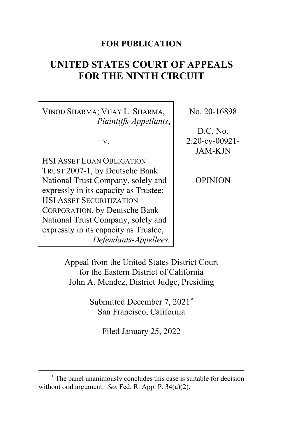## **FOR PUBLICATION**

# **UNITED STATES COURT OF APPEALS FOR THE NINTH CIRCUIT**

VINOD SHARMA; VIJAY L. SHARMA, *Plaintiffs-Appellants*,

v.

HSI ASSET LOAN OBLIGATION TRUST 2007-1, by Deutsche Bank National Trust Company, solely and expressly in its capacity as Trustee; HSI ASSET SECURITIZATION CORPORATION, by Deutsche Bank National Trust Company, solely and expressly in its capacity as Trustee, *Defendants-Appellees.* No. 20-16898

D.C. No. 2:20-cv-00921- JAM-KJN

OPINION

Appeal from the United States District Court for the Eastern District of California John A. Mendez, District Judge, Presiding

> Submitted December 7, 2021**[\\*](#page-0-0)** San Francisco, California

> > Filed January 25, 2022

<span id="page-0-0"></span>**<sup>\*</sup>** The panel unanimously concludes this case is suitable for decision without oral argument. *See* Fed. R. App. P. 34(a)(2).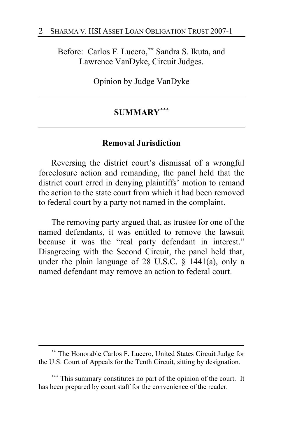Before: Carlos F. Lucero,**[\\*\\*](#page-1-0)** Sandra S. Ikuta, and Lawrence VanDyke, Circuit Judges.

Opinion by Judge VanDyke

# **SUMMARY[\\*\\*\\*](#page-1-1)**

## **Removal Jurisdiction**

Reversing the district court's dismissal of a wrongful foreclosure action and remanding, the panel held that the district court erred in denying plaintiffs' motion to remand the action to the state court from which it had been removed to federal court by a party not named in the complaint.

The removing party argued that, as trustee for one of the named defendants, it was entitled to remove the lawsuit because it was the "real party defendant in interest." Disagreeing with the Second Circuit, the panel held that, under the plain language of 28 U.S.C. § 1441(a), only a named defendant may remove an action to federal court.

<span id="page-1-0"></span>**<sup>\*\*</sup>** The Honorable Carlos F. Lucero, United States Circuit Judge for the U.S. Court of Appeals for the Tenth Circuit, sitting by designation.

<span id="page-1-1"></span>**<sup>\*\*\*</sup>** This summary constitutes no part of the opinion of the court. It has been prepared by court staff for the convenience of the reader.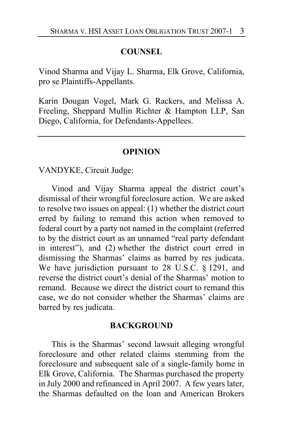### **COUNSEL**

Vinod Sharma and Vijay L. Sharma, Elk Grove, California, pro se Plaintiffs-Appellants.

Karin Dougan Vogel, Mark G. Rackers, and Melissa A. Freeling, Sheppard Mullin Richter & Hampton LLP, San Diego, California, for Defendants-Appellees.

#### **OPINION**

VANDYKE, Circuit Judge:

Vinod and Vijay Sharma appeal the district court's dismissal of their wrongful foreclosure action. We are asked to resolve two issues on appeal: (1) whether the district court erred by failing to remand this action when removed to federal court by a party not named in the complaint (referred to by the district court as an unnamed "real party defendant in interest"), and (2) whether the district court erred in dismissing the Sharmas' claims as barred by res judicata. We have jurisdiction pursuant to 28 U.S.C. § 1291, and reverse the district court's denial of the Sharmas' motion to remand. Because we direct the district court to remand this case, we do not consider whether the Sharmas' claims are barred by res judicata.

#### **BACKGROUND**

This is the Sharmas' second lawsuit alleging wrongful foreclosure and other related claims stemming from the foreclosure and subsequent sale of a single-family home in Elk Grove, California. The Sharmas purchased the property in July 2000 and refinanced in April 2007. A few years later, the Sharmas defaulted on the loan and American Brokers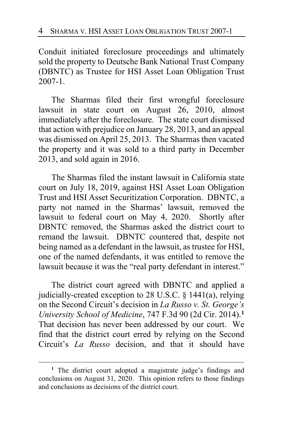Conduit initiated foreclosure proceedings and ultimately sold the property to Deutsche Bank National Trust Company (DBNTC) as Trustee for HSI Asset Loan Obligation Trust 2007-1.

The Sharmas filed their first wrongful foreclosure lawsuit in state court on August 26, 2010, almost immediately after the foreclosure. The state court dismissed that action with prejudice on January 28, 2013, and an appeal was dismissed on April 25, 2013. The Sharmas then vacated the property and it was sold to a third party in December 2013, and sold again in 2016.

The Sharmas filed the instant lawsuit in California state court on July 18, 2019, against HSI Asset Loan Obligation Trust and HSI Asset Securitization Corporation. DBNTC, a party not named in the Sharmas' lawsuit, removed the lawsuit to federal court on May 4, 2020. Shortly after DBNTC removed, the Sharmas asked the district court to remand the lawsuit. DBNTC countered that, despite not being named as a defendant in the lawsuit, as trustee for HSI, one of the named defendants, it was entitled to remove the lawsuit because it was the "real party defendant in interest."

The district court agreed with DBNTC and applied a judicially-created exception to 28 U.S.C. § 1441(a), relying on the Second Circuit's decision in *La Russo v. St. George's University School of Medicine*, 747 F.3d 90 (2d Cir. 2014).**[1](#page-3-0)** That decision has never been addressed by our court. We find that the district court erred by relying on the Second Circuit's *La Russo* decision, and that it should have

<span id="page-3-0"></span>**<sup>1</sup>** The district court adopted a magistrate judge's findings and conclusions on August 31, 2020. This opinion refers to those findings and conclusions as decisions of the district court.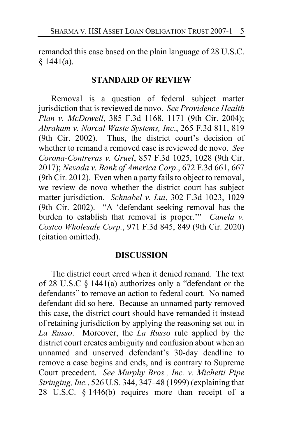remanded this case based on the plain language of 28 U.S.C.  $§$  1441(a).

#### **STANDARD OF REVIEW**

Removal is a question of federal subject matter jurisdiction that is reviewed de novo. *See Providence Health Plan v. McDowell*, 385 F.3d 1168, 1171 (9th Cir. 2004); *Abraham v. Norcal Waste Systems, Inc*., 265 F.3d 811, 819 (9th Cir. 2002). Thus, the district court's decision of whether to remand a removed case is reviewed de novo. *See Corona-Contreras v. Gruel*, 857 F.3d 1025, 1028 (9th Cir. 2017); *Nevada v. Bank of America Corp*., 672 F.3d 661, 667 (9th Cir. 2012). Even when a party fails to object to removal, we review de novo whether the district court has subject matter jurisdiction. *Schnabel v. Lui*, 302 F.3d 1023, 1029 (9th Cir. 2002). "A 'defendant seeking removal has the burden to establish that removal is proper.'" *Canela v. Costco Wholesale Corp.*, 971 F.3d 845, 849 (9th Cir. 2020) (citation omitted).

#### **DISCUSSION**

The district court erred when it denied remand. The text of 28 U.S.C § 1441(a) authorizes only a "defendant or the defendants" to remove an action to federal court. No named defendant did so here. Because an unnamed party removed this case, the district court should have remanded it instead of retaining jurisdiction by applying the reasoning set out in *La Russo*. Moreover, the *La Russo* rule applied by the district court creates ambiguity and confusion about when an unnamed and unserved defendant's 30-day deadline to remove a case begins and ends, and is contrary to Supreme Court precedent. *See Murphy Bros., Inc. v. Michetti Pipe Stringing, Inc.*, 526 U.S. 344, 347–48 (1999) (explaining that 28 U.S.C. § 1446(b) requires more than receipt of a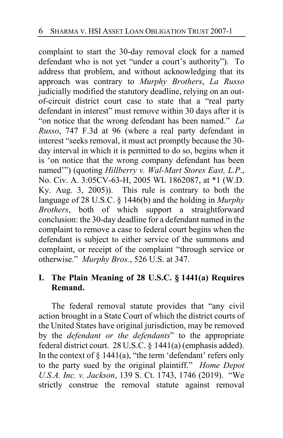complaint to start the 30-day removal clock for a named defendant who is not yet "under a court's authority"). To address that problem, and without acknowledging that its approach was contrary to *Murphy Brothers*, *La Russo* judicially modified the statutory deadline, relying on an outof-circuit district court case to state that a "real party defendant in interest" must remove within 30 days after it is "on notice that the wrong defendant has been named." *La Russo*, 747 F.3d at 96 (where a real party defendant in interest "seeks removal, it must act promptly because the 30 day interval in which it is permitted to do so, begins when it is 'on notice that the wrong company defendant has been named'") (quoting *Hillberry v. Wal-Mart Stores East, L.P*., No. Civ. A. 3:05CV-63-H, 2005 WL 1862087, at \*1 (W.D. Ky. Aug. 3, 2005)). This rule is contrary to both the language of 28 U.S.C. § 1446(b) and the holding in *Murphy Brothers*, both of which support a straightforward conclusion: the 30-day deadline for a defendant named in the complaint to remove a case to federal court begins when the defendant is subject to either service of the summons and complaint, or receipt of the complaint "through service or otherwise." *Murphy Bros.*, 526 U.S. at 347.

# **I. The Plain Meaning of 28 U.S.C. § 1441(a) Requires Remand.**

The federal removal statute provides that "any civil action brought in a State Court of which the district courts of the United States have original jurisdiction, may be removed by the *defendant or the defendants*" to the appropriate federal district court. 28 U.S.C. § 1441(a) (emphasis added). In the context of  $\S$  1441(a), "the term 'defendant' refers only to the party sued by the original plaintiff." *Home Depot U.S.A. Inc. v. Jackson*, 139 S. Ct. 1743, 1746 (2019). "We strictly construe the removal statute against removal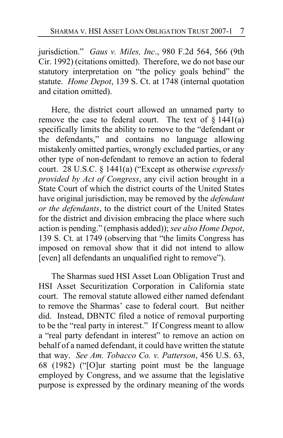jurisdiction." *Gaus v. Miles, Inc*., 980 F.2d 564, 566 (9th Cir. 1992) (citations omitted). Therefore, we do not base our statutory interpretation on "the policy goals behind" the statute. *Home Depot*, 139 S. Ct. at 1748 (internal quotation and citation omitted).

Here, the district court allowed an unnamed party to remove the case to federal court. The text of  $\S$  1441(a) specifically limits the ability to remove to the "defendant or the defendants," and contains no language allowing mistakenly omitted parties, wrongly excluded parties, or any other type of non-defendant to remove an action to federal court. 28 U.S.C. § 1441(a) ("Except as otherwise *expressly provided by Act of Congress*, any civil action brought in a State Court of which the district courts of the United States have original jurisdiction, may be removed by the *defendant or the defendants*, to the district court of the United States for the district and division embracing the place where such action is pending." (emphasis added)); *see also Home Depot*, 139 S. Ct. at 1749 (observing that "the limits Congress has imposed on removal show that it did not intend to allow [even] all defendants an unqualified right to remove").

The Sharmas sued HSI Asset Loan Obligation Trust and HSI Asset Securitization Corporation in California state court. The removal statute allowed either named defendant to remove the Sharmas' case to federal court. But neither did. Instead, DBNTC filed a notice of removal purporting to be the "real party in interest." If Congress meant to allow a "real party defendant in interest" to remove an action on behalf of a named defendant, it could have written the statute that way. *See Am. Tobacco Co. v. Patterson*, 456 U.S. 63, 68 (1982) ("[O]ur starting point must be the language employed by Congress, and we assume that the legislative purpose is expressed by the ordinary meaning of the words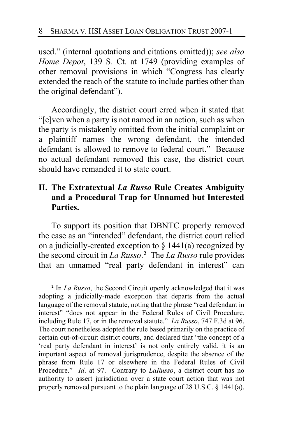used." (internal quotations and citations omitted)); *see also Home Depot*, 139 S. Ct. at 1749 (providing examples of other removal provisions in which "Congress has clearly extended the reach of the statute to include parties other than the original defendant").

Accordingly, the district court erred when it stated that "[e]ven when a party is not named in an action, such as when the party is mistakenly omitted from the initial complaint or a plaintiff names the wrong defendant, the intended defendant is allowed to remove to federal court." Because no actual defendant removed this case, the district court should have remanded it to state court.

# **II. The Extratextual** *La Russo* **Rule Creates Ambiguity and a Procedural Trap for Unnamed but Interested Parties.**

To support its position that DBNTC properly removed the case as an "intended" defendant, the district court relied on a judicially-created exception to  $\S$  1441(a) recognized by the second circuit in *La Russo*. **[2](#page-7-0)** The *La Russo* rule provides that an unnamed "real party defendant in interest" can

<span id="page-7-0"></span>**<sup>2</sup>** In *La Russo*, the Second Circuit openly acknowledged that it was adopting a judicially-made exception that departs from the actual language of the removal statute, noting that the phrase "real defendant in interest" "does not appear in the Federal Rules of Civil Procedure, including Rule 17, or in the removal statute." *La Russo*, 747 F.3d at 96. The court nonetheless adopted the rule based primarily on the practice of certain out-of-circuit district courts, and declared that "the concept of a 'real party defendant in interest' is not only entirely valid, it is an important aspect of removal jurisprudence, despite the absence of the phrase from Rule 17 or elsewhere in the Federal Rules of Civil Procedure." *Id*. at 97. Contrary to *LaRusso*, a district court has no authority to assert jurisdiction over a state court action that was not properly removed pursuant to the plain language of 28 U.S.C. § 1441(a).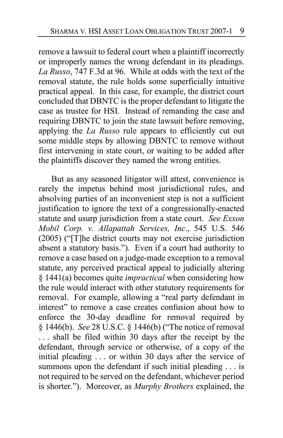remove a lawsuit to federal court when a plaintiff incorrectly or improperly names the wrong defendant in its pleadings. *La Russo*, 747 F.3d at 96. While at odds with the text of the removal statute, the rule holds some superficially intuitive practical appeal. In this case, for example, the district court concluded that DBNTC is the proper defendant to litigate the case as trustee for HSI. Instead of remanding the case and requiring DBNTC to join the state lawsuit before removing, applying the *La Russo* rule appears to efficiently cut out some middle steps by allowing DBNTC to remove without first intervening in state court, or waiting to be added after the plaintiffs discover they named the wrong entities.

But as any seasoned litigator will attest, convenience is rarely the impetus behind most jurisdictional rules, and absolving parties of an inconvenient step is not a sufficient justification to ignore the text of a congressionally-enacted statute and usurp jurisdiction from a state court. *See Exxon Mobil Corp. v. Allapattah Services, Inc*., 545 U.S. 546 (2005) ("[T]he district courts may not exercise jurisdiction absent a statutory basis."). Even if a court had authority to remove a case based on a judge-made exception to a removal statute, any perceived practical appeal to judicially altering § 1441(a) becomes quite *impractical* when considering how the rule would interact with other statutory requirements for removal. For example, allowing a "real party defendant in interest" to remove a case creates confusion about how to enforce the 30-day deadline for removal required by § 1446(b). *See* 28 U.S.C. § 1446(b) ("The notice of removal ... shall be filed within 30 days after the receipt by the defendant, through service or otherwise, of a copy of the initial pleading . . . or within 30 days after the service of summons upon the defendant if such initial pleading . . . is not required to be served on the defendant, whichever period is shorter."). Moreover, as *Murphy Brothers* explained, the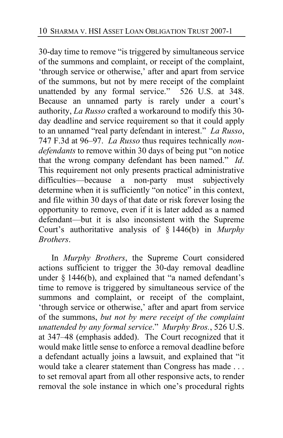30-day time to remove "is triggered by simultaneous service of the summons and complaint, or receipt of the complaint, 'through service or otherwise,' after and apart from service of the summons, but not by mere receipt of the complaint unattended by any formal service." 526 U.S. at 348. Because an unnamed party is rarely under a court's authority, *La Russo* crafted a workaround to modify this 30 day deadline and service requirement so that it could apply to an unnamed "real party defendant in interest." *La Russo*, 747 F.3d at 96–97. *La Russo* thus requires technically *nondefendants* to remove within 30 days of being put "on notice that the wrong company defendant has been named." *Id*. This requirement not only presents practical administrative difficulties—because a non-party must subjectively determine when it is sufficiently "on notice" in this context, and file within 30 days of that date or risk forever losing the opportunity to remove, even if it is later added as a named defendant—but it is also inconsistent with the Supreme Court's authoritative analysis of § 1446(b) in *Murphy Brothers*.

In *Murphy Brothers*, the Supreme Court considered actions sufficient to trigger the 30-day removal deadline under  $§$  1446(b), and explained that "a named defendant's time to remove is triggered by simultaneous service of the summons and complaint, or receipt of the complaint, 'through service or otherwise,' after and apart from service of the summons, *but not by mere receipt of the complaint unattended by any formal service*." *Murphy Bros.*, 526 U.S. at 347–48 (emphasis added). The Court recognized that it would make little sense to enforce a removal deadline before a defendant actually joins a lawsuit, and explained that "it would take a clearer statement than Congress has made . . . to set removal apart from all other responsive acts, to render removal the sole instance in which one's procedural rights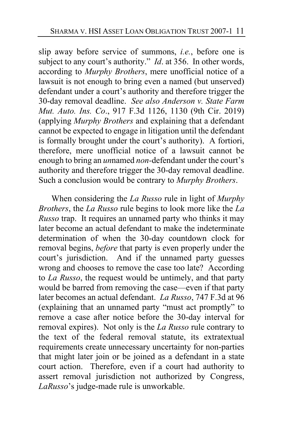slip away before service of summons, *i.e.*, before one is subject to any court's authority." *Id*. at 356. In other words, according to *Murphy Brothers*, mere unofficial notice of a lawsuit is not enough to bring even a named (but unserved) defendant under a court's authority and therefore trigger the 30-day removal deadline. *See also Anderson v. State Farm Mut. Auto. Ins. Co*., 917 F.3d 1126, 1130 (9th Cir. 2019) (applying *Murphy Brothers* and explaining that a defendant cannot be expected to engage in litigation until the defendant is formally brought under the court's authority). A fortiori, therefore, mere unofficial notice of a lawsuit cannot be enough to bring an *un*named *non-*defendant under the court's authority and therefore trigger the 30-day removal deadline. Such a conclusion would be contrary to *Murphy Brothers*.

When considering the *La Russo* rule in light of *Murphy Brothers*, the *La Russo* rule begins to look more like the *La Russo* trap. It requires an unnamed party who thinks it may later become an actual defendant to make the indeterminate determination of when the 30-day countdown clock for removal begins, *before* that party is even properly under the court's jurisdiction. And if the unnamed party guesses wrong and chooses to remove the case too late? According to *La Russo*, the request would be untimely, and that party would be barred from removing the case—even if that party later becomes an actual defendant. *La Russo*, 747 F.3d at 96 (explaining that an unnamed party "must act promptly" to remove a case after notice before the 30-day interval for removal expires). Not only is the *La Russo* rule contrary to the text of the federal removal statute, its extratextual requirements create unnecessary uncertainty for non-parties that might later join or be joined as a defendant in a state court action. Therefore, even if a court had authority to assert removal jurisdiction not authorized by Congress, *LaRusso*'s judge-made rule is unworkable.